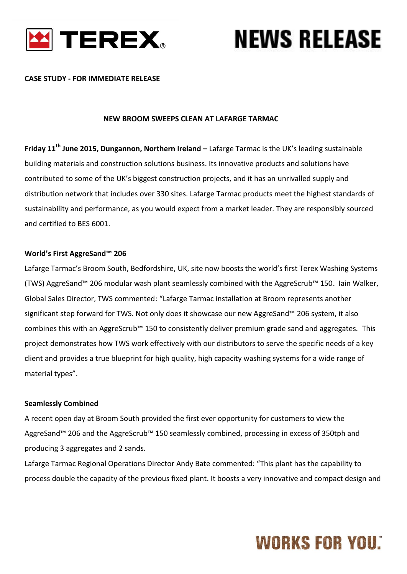

#### **CASE STUDY - FOR IMMEDIATE RELEASE**

#### **NEW BROOM SWEEPS CLEAN AT LAFARGE TARMAC**

**Friday 11th June 2015, Dungannon, Northern Ireland –** Lafarge Tarmac is the UK's leading sustainable building materials and construction solutions business. Its innovative products and solutions have contributed to some of the UK's biggest construction projects, and it has an unrivalled supply and distribution network that includes over 330 sites. Lafarge Tarmac products meet the highest standards of sustainability and performance, as you would expect from a market leader. They are responsibly sourced and certified to BES 6001.

#### **World's First AggreSand™ 206**

Lafarge Tarmac's Broom South, Bedfordshire, UK, site now boosts the world's first Terex Washing Systems (TWS) AggreSand™ 206 modular wash plant seamlessly combined with the AggreScrub™ 150. Iain Walker, Global Sales Director, TWS commented: "Lafarge Tarmac installation at Broom represents another significant step forward for TWS. Not only does it showcase our new AggreSand™ 206 system, it also combines this with an AggreScrub™ 150 to consistently deliver premium grade sand and aggregates. This project demonstrates how TWS work effectively with our distributors to serve the specific needs of a key client and provides a true blueprint for high quality, high capacity washing systems for a wide range of material types".

#### **Seamlessly Combined**

A recent open day at Broom South provided the first ever opportunity for customers to view the AggreSand™ 206 and the AggreScrub™ 150 seamlessly combined, processing in excess of 350tph and producing 3 aggregates and 2 sands.

Lafarge Tarmac Regional Operations Director Andy Bate commented: "This plant has the capability to process double the capacity of the previous fixed plant. It boosts a very innovative and compact design and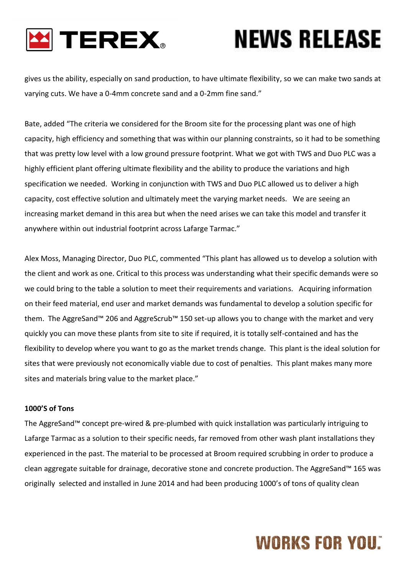

gives us the ability, especially on sand production, to have ultimate flexibility, so we can make two sands at varying cuts. We have a 0-4mm concrete sand and a 0-2mm fine sand."

Bate, added "The criteria we considered for the Broom site for the processing plant was one of high capacity, high efficiency and something that was within our planning constraints, so it had to be something that was pretty low level with a low ground pressure footprint. What we got with TWS and Duo PLC was a highly efficient plant offering ultimate flexibility and the ability to produce the variations and high specification we needed. Working in conjunction with TWS and Duo PLC allowed us to deliver a high capacity, cost effective solution and ultimately meet the varying market needs. We are seeing an increasing market demand in this area but when the need arises we can take this model and transfer it anywhere within out industrial footprint across Lafarge Tarmac."

Alex Moss, Managing Director, Duo PLC, commented "This plant has allowed us to develop a solution with the client and work as one. Critical to this process was understanding what their specific demands were so we could bring to the table a solution to meet their requirements and variations. Acquiring information on their feed material, end user and market demands was fundamental to develop a solution specific for them. The AggreSand™ 206 and AggreScrub™ 150 set-up allows you to change with the market and very quickly you can move these plants from site to site if required, it is totally self-contained and has the flexibility to develop where you want to go as the market trends change. This plant is the ideal solution for sites that were previously not economically viable due to cost of penalties. This plant makes many more sites and materials bring value to the market place."

#### **1000'S of Tons**

The AggreSand™ concept pre-wired & pre-plumbed with quick installation was particularly intriguing to Lafarge Tarmac as a solution to their specific needs, far removed from other wash plant installations they experienced in the past. The material to be processed at Broom required scrubbing in order to produce a clean aggregate suitable for drainage, decorative stone and concrete production. The AggreSand™ 165 was originally selected and installed in June 2014 and had been producing 1000's of tons of quality clean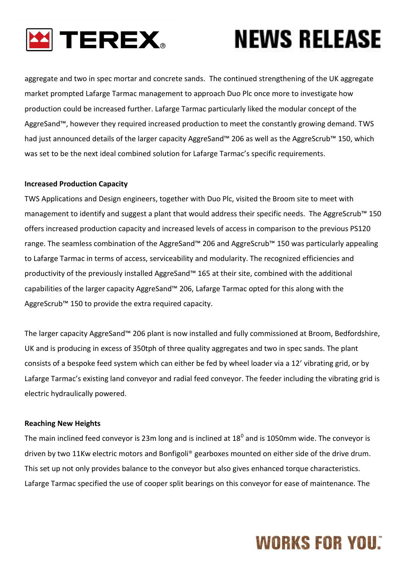

aggregate and two in spec mortar and concrete sands. The continued strengthening of the UK aggregate market prompted Lafarge Tarmac management to approach Duo Plc once more to investigate how production could be increased further. Lafarge Tarmac particularly liked the modular concept of the AggreSand™, however they required increased production to meet the constantly growing demand. TWS had just announced details of the larger capacity AggreSand™ 206 as well as the AggreScrub™ 150, which was set to be the next ideal combined solution for Lafarge Tarmac's specific requirements.

#### **Increased Production Capacity**

TWS Applications and Design engineers, together with Duo Plc, visited the Broom site to meet with management to identify and suggest a plant that would address their specific needs. The AggreScrub™ 150 offers increased production capacity and increased levels of access in comparison to the previous PS120 range. The seamless combination of the AggreSand™ 206 and AggreScrub™ 150 was particularly appealing to Lafarge Tarmac in terms of access, serviceability and modularity. The recognized efficiencies and productivity of the previously installed AggreSand™ 165 at their site, combined with the additional capabilities of the larger capacity AggreSand™ 206, Lafarge Tarmac opted for this along with the AggreScrub™ 150 to provide the extra required capacity.

The larger capacity AggreSand™ 206 plant is now installed and fully commissioned at Broom, Bedfordshire, UK and is producing in excess of 350tph of three quality aggregates and two in spec sands. The plant consists of a bespoke feed system which can either be fed by wheel loader via a 12' vibrating grid, or by Lafarge Tarmac's existing land conveyor and radial feed conveyor. The feeder including the vibrating grid is electric hydraulically powered.

#### **Reaching New Heights**

The main inclined feed conveyor is 23m long and is inclined at  $18^0$  and is 1050mm wide. The conveyor is driven by two 11Kw electric motors and Bonfigoli® gearboxes mounted on either side of the drive drum. This set up not only provides balance to the conveyor but also gives enhanced torque characteristics. Lafarge Tarmac specified the use of cooper split bearings on this conveyor for ease of maintenance. The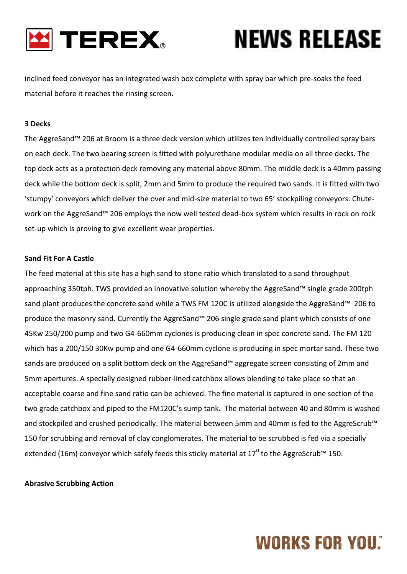

inclined feed conveyor has an integrated wash box complete with spray bar which pre-soaks the feed material before it reaches the rinsing screen.

#### **3 Decks**

The AggreSand™ 206 at Broom is a three deck version which utilizes ten individually controlled spray bars on each deck. The two bearing screen is fitted with polyurethane modular media on all three decks. The top deck acts as a protection deck removing any material above 80mm. The middle deck is a 40mm passing deck while the bottom deck is split, 2mm and 5mm to produce the required two sands. It is fitted with two 'stumpy' conveyors which deliver the over and mid-size material to two 65' stockpiling conveyors. Chutework on the AggreSand™ 206 employs the now well tested dead-box system which results in rock on rock set-up which is proving to give excellent wear properties.

#### **Sand Fit For A Castle**

The feed material at this site has a high sand to stone ratio which translated to a sand throughput approaching 350tph. TWS provided an innovative solution whereby the AggreSand™ single grade 200tph sand plant produces the concrete sand while a TWS FM 120C is utilized alongside the AggreSand™ 206 to produce the masonry sand. Currently the AggreSand™ 206 single grade sand plant which consists of one 45Kw 250/200 pump and two G4-660mm cyclones is producing clean in spec concrete sand. The FM 120 which has a 200/150 30Kw pump and one G4-660mm cyclone is producing in spec mortar sand. These two sands are produced on a split bottom deck on the AggreSand™ aggregate screen consisting of 2mm and 5mm apertures. A specially designed rubber-lined catchbox allows blending to take place so that an acceptable coarse and fine sand ratio can be achieved. The fine material is captured in one section of the two grade catchbox and piped to the FM120C's sump tank. The material between 40 and 80mm is washed and stockpiled and crushed periodically. The material between 5mm and 40mm is fed to the AggreScrub™ 150 for scrubbing and removal of clay conglomerates. The material to be scrubbed is fed via a specially extended (16m) conveyor which safely feeds this sticky material at 17<sup>0</sup> to the AggreScrub™ 150.

#### **Abrasive Scrubbing Action**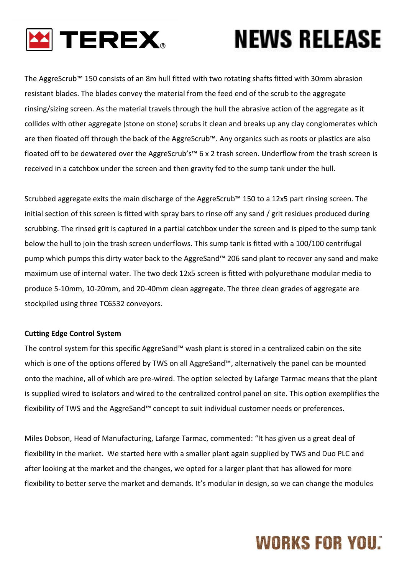

The AggreScrub™ 150 consists of an 8m hull fitted with two rotating shafts fitted with 30mm abrasion resistant blades. The blades convey the material from the feed end of the scrub to the aggregate rinsing/sizing screen. As the material travels through the hull the abrasive action of the aggregate as it collides with other aggregate (stone on stone) scrubs it clean and breaks up any clay conglomerates which are then floated off through the back of the AggreScrub™. Any organics such as roots or plastics are also floated off to be dewatered over the AggreScrub's™ 6 x 2 trash screen. Underflow from the trash screen is received in a catchbox under the screen and then gravity fed to the sump tank under the hull.

Scrubbed aggregate exits the main discharge of the AggreScrub™ 150 to a 12x5 part rinsing screen. The initial section of this screen is fitted with spray bars to rinse off any sand / grit residues produced during scrubbing. The rinsed grit is captured in a partial catchbox under the screen and is piped to the sump tank below the hull to join the trash screen underflows. This sump tank is fitted with a 100/100 centrifugal pump which pumps this dirty water back to the AggreSand™ 206 sand plant to recover any sand and make maximum use of internal water. The two deck 12x5 screen is fitted with polyurethane modular media to produce 5-10mm, 10-20mm, and 20-40mm clean aggregate. The three clean grades of aggregate are stockpiled using three TC6532 conveyors.

#### **Cutting Edge Control System**

The control system for this specific AggreSand™ wash plant is stored in a centralized cabin on the site which is one of the options offered by TWS on all AggreSand™, alternatively the panel can be mounted onto the machine, all of which are pre-wired. The option selected by Lafarge Tarmac means that the plant is supplied wired to isolators and wired to the centralized control panel on site. This option exemplifies the flexibility of TWS and the AggreSand™ concept to suit individual customer needs or preferences.

Miles Dobson, Head of Manufacturing, Lafarge Tarmac, commented: "It has given us a great deal of flexibility in the market. We started here with a smaller plant again supplied by TWS and Duo PLC and after looking at the market and the changes, we opted for a larger plant that has allowed for more flexibility to better serve the market and demands. It's modular in design, so we can change the modules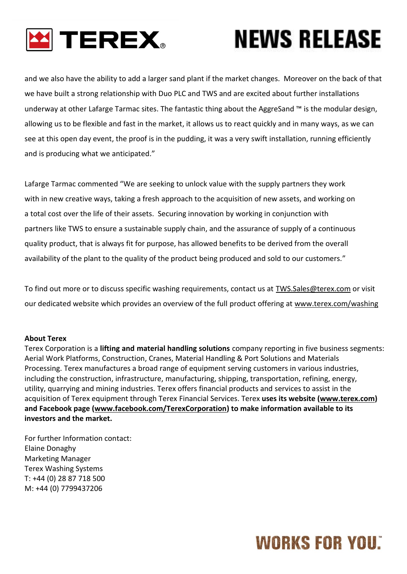

and we also have the ability to add a larger sand plant if the market changes. Moreover on the back of that we have built a strong relationship with Duo PLC and TWS and are excited about further installations underway at other Lafarge Tarmac sites. The fantastic thing about the AggreSand ™ is the modular design, allowing us to be flexible and fast in the market, it allows us to react quickly and in many ways, as we can see at this open day event, the proof is in the pudding, it was a very swift installation, running efficiently and is producing what we anticipated."

Lafarge Tarmac commented "We are seeking to unlock value with the supply partners they work with in new creative ways, taking a fresh approach to the acquisition of new assets, and working on a total cost over the life of their assets. Securing innovation by working in conjunction with partners like TWS to ensure a sustainable supply chain, and the assurance of supply of a continuous quality product, that is always fit for purpose, has allowed benefits to be derived from the overall availability of the plant to the quality of the product being produced and sold to our customers."

To find out more or to discuss specific washing requirements, contact us at [TWS.Sales@terex.com](mailto:TWS.Sales@terex.com) or visit our dedicated website which provides an overview of the full product offering at [www.terex.com/washing](http://www.terex.com/washing)

#### **About Terex**

Terex Corporation is a **lifting and material handling solutions** company reporting in five business segments: Aerial Work Platforms, Construction, Cranes, Material Handling & Port Solutions and Materials Processing. Terex manufactures a broad range of equipment serving customers in various industries, including the construction, infrastructure, manufacturing, shipping, transportation, refining, energy, utility, quarrying and mining industries. Terex offers financial products and services to assist in the acquisition of Terex equipment through Terex Financial Services. Terex **uses its website [\(www.terex.com\)](http://www.terex.com/) and Facebook page [\(www.facebook.com/TerexCorporation\)](http://www.facebook.com/TerexCorporation) to make information available to its investors and the market.**

For further Information contact: Elaine Donaghy Marketing Manager Terex Washing Systems T: +44 (0) 28 87 718 500 M: +44 (0) 7799437206